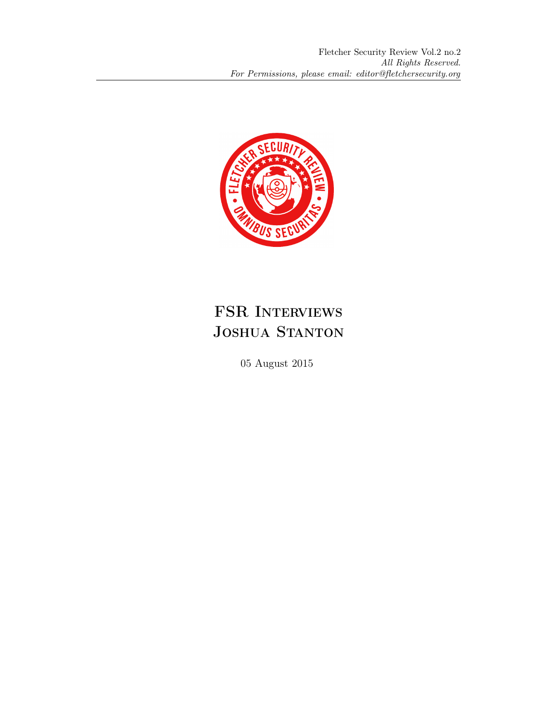

## FSR INTERVIEWS JOSHUA STANTON

05 August 2015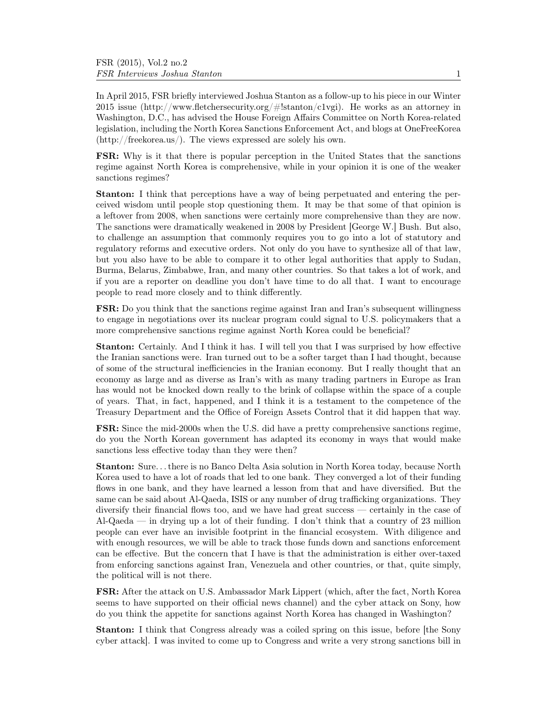In April 2015, FSR briefly interviewed Joshua Stanton as a follow-up to his piece in our Winter 2015 issue (http://www.fletchersecurity.org/#!stanton/c1vgi). He works as an attorney in Washington, D.C., has advised the House Foreign Affairs Committee on North Korea-related legislation, including the North Korea Sanctions Enforcement Act, and blogs at OneFreeKorea (http://freekorea.us/). The views expressed are solely his own.

FSR: Why is it that there is popular perception in the United States that the sanctions regime against North Korea is comprehensive, while in your opinion it is one of the weaker sanctions regimes?

Stanton: I think that perceptions have a way of being perpetuated and entering the perceived wisdom until people stop questioning them. It may be that some of that opinion is a leftover from 2008, when sanctions were certainly more comprehensive than they are now. The sanctions were dramatically weakened in 2008 by President [George W.] Bush. But also, to challenge an assumption that commonly requires you to go into a lot of statutory and regulatory reforms and executive orders. Not only do you have to synthesize all of that law, but you also have to be able to compare it to other legal authorities that apply to Sudan, Burma, Belarus, Zimbabwe, Iran, and many other countries. So that takes a lot of work, and if you are a reporter on deadline you don't have time to do all that. I want to encourage people to read more closely and to think differently.

FSR: Do you think that the sanctions regime against Iran and Iran's subsequent willingness to engage in negotiations over its nuclear program could signal to U.S. policymakers that a more comprehensive sanctions regime against North Korea could be beneficial?

Stanton: Certainly. And I think it has. I will tell you that I was surprised by how effective the Iranian sanctions were. Iran turned out to be a softer target than I had thought, because of some of the structural inefficiencies in the Iranian economy. But I really thought that an economy as large and as diverse as Iran's with as many trading partners in Europe as Iran has would not be knocked down really to the brink of collapse within the space of a couple of years. That, in fact, happened, and I think it is a testament to the competence of the Treasury Department and the Office of Foreign Assets Control that it did happen that way.

FSR: Since the mid-2000s when the U.S. did have a pretty comprehensive sanctions regime, do you the North Korean government has adapted its economy in ways that would make sanctions less effective today than they were then?

Stanton: Sure. . . there is no Banco Delta Asia solution in North Korea today, because North Korea used to have a lot of roads that led to one bank. They converged a lot of their funding flows in one bank, and they have learned a lesson from that and have diversified. But the same can be said about Al-Qaeda, ISIS or any number of drug trafficking organizations. They diversify their financial flows too, and we have had great success — certainly in the case of Al-Qaeda — in drying up a lot of their funding. I don't think that a country of 23 million people can ever have an invisible footprint in the financial ecosystem. With diligence and with enough resources, we will be able to track those funds down and sanctions enforcement can be effective. But the concern that I have is that the administration is either over-taxed from enforcing sanctions against Iran, Venezuela and other countries, or that, quite simply, the political will is not there.

FSR: After the attack on U.S. Ambassador Mark Lippert (which, after the fact, North Korea seems to have supported on their official news channel) and the cyber attack on Sony, how do you think the appetite for sanctions against North Korea has changed in Washington?

Stanton: I think that Congress already was a coiled spring on this issue, before [the Sony cyber attack]. I was invited to come up to Congress and write a very strong sanctions bill in